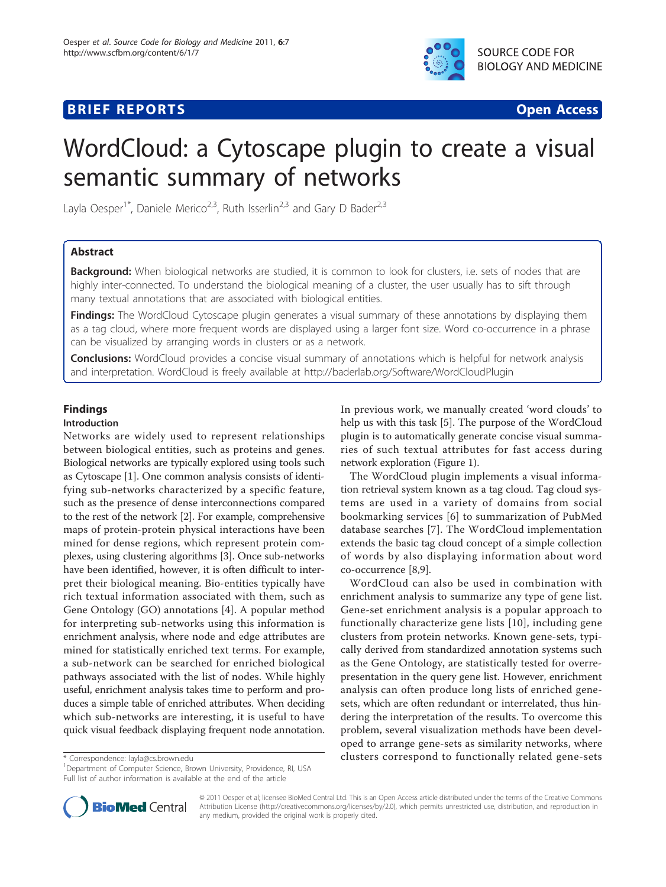# **BRIEF REPORTS SECOND EXECUTIVE EXECUTIVE EXECUTIVE EXECUTIVE EXECUTIVE EXECUTIVE EXECUTIVE EXECUTIVE EXECUTIVE EXECUTIVE EXECUTIVE EXECUTIVE EXECUTIVE EXECUTIVE EXECUTIVE EXECUTIVE EXECUTIVE EXECUTIVE EXECUTIVE EXECUTIV**



# WordCloud: a Cytoscape plugin to create a visual semantic summary of networks

Layla Oesper<sup>1\*</sup>, Daniele Merico<sup>2,3</sup>, Ruth Isserlin<sup>2,3</sup> and Gary D Bader<sup>2,3</sup>

# Abstract

**Background:** When biological networks are studied, it is common to look for clusters, i.e. sets of nodes that are highly inter-connected. To understand the biological meaning of a cluster, the user usually has to sift through many textual annotations that are associated with biological entities.

Findings: The WordCloud Cytoscape plugin generates a visual summary of these annotations by displaying them as a tag cloud, where more frequent words are displayed using a larger font size. Word co-occurrence in a phrase can be visualized by arranging words in clusters or as a network.

**Conclusions:** WordCloud provides a concise visual summary of annotations which is helpful for network analysis and interpretation. WordCloud is freely available at<http://baderlab.org/Software/WordCloudPlugin>

# Findings

# Introduction

Networks are widely used to represent relationships between biological entities, such as proteins and genes. Biological networks are typically explored using tools such as Cytoscape [\[1](#page-3-0)]. One common analysis consists of identifying sub-networks characterized by a specific feature, such as the presence of dense interconnections compared to the rest of the network [\[2\]](#page-3-0). For example, comprehensive maps of protein-protein physical interactions have been mined for dense regions, which represent protein complexes, using clustering algorithms [[3\]](#page-3-0). Once sub-networks have been identified, however, it is often difficult to interpret their biological meaning. Bio-entities typically have rich textual information associated with them, such as Gene Ontology (GO) annotations [\[4](#page-3-0)]. A popular method for interpreting sub-networks using this information is enrichment analysis, where node and edge attributes are mined for statistically enriched text terms. For example, a sub-network can be searched for enriched biological pathways associated with the list of nodes. While highly useful, enrichment analysis takes time to perform and produces a simple table of enriched attributes. When deciding which sub-networks are interesting, it is useful to have quick visual feedback displaying frequent node annotation.

<sup>1</sup>Department of Computer Science, Brown University, Providence, RI, USA Full list of author information is available at the end of the article

In previous work, we manually created 'word clouds' to help us with this task [[5\]](#page-3-0). The purpose of the WordCloud plugin is to automatically generate concise visual summaries of such textual attributes for fast access during network exploration (Figure [1\)](#page-1-0).

The WordCloud plugin implements a visual information retrieval system known as a tag cloud. Tag cloud systems are used in a variety of domains from social bookmarking services [[6\]](#page-3-0) to summarization of PubMed database searches [\[7\]](#page-3-0). The WordCloud implementation extends the basic tag cloud concept of a simple collection of words by also displaying information about word co-occurrence [[8](#page-3-0),[9](#page-3-0)].

WordCloud can also be used in combination with enrichment analysis to summarize any type of gene list. Gene-set enrichment analysis is a popular approach to functionally characterize gene lists [[10\]](#page-3-0), including gene clusters from protein networks. Known gene-sets, typically derived from standardized annotation systems such as the Gene Ontology, are statistically tested for overrepresentation in the query gene list. However, enrichment analysis can often produce long lists of enriched genesets, which are often redundant or interrelated, thus hindering the interpretation of the results. To overcome this problem, several visualization methods have been developed to arrange gene-sets as similarity networks, where \* Correspondence: [layla@cs.brown.edu](mailto:layla@cs.brown.edu) clusters correspond to functionally related gene-sets <sup>1</sup>



© 2011 Oesper et al; licensee BioMed Central Ltd. This is an Open Access article distributed under the terms of the Creative Commons Attribution License [\(http://creativecommons.org/licenses/by/2.0](http://creativecommons.org/licenses/by/2.0)), which permits unrestricted use, distribution, and reproduction in any medium, provided the original work is properly cited.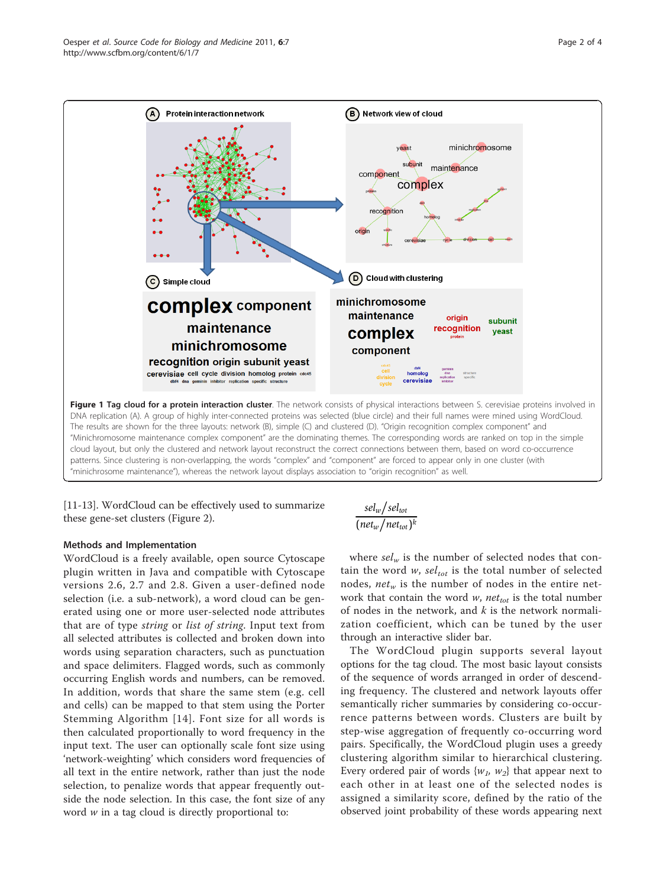<span id="page-1-0"></span>

"minichrosome maintenance"), whereas the network layout displays association to "origin recognition" as well.

[[11-13\]](#page-3-0). WordCloud can be effectively used to summarize these gene-set clusters (Figure [2\)](#page-2-0).

# Methods and Implementation

WordCloud is a freely available, open source Cytoscape plugin written in Java and compatible with Cytoscape versions 2.6, 2.7 and 2.8. Given a user-defined node selection (i.e. a sub-network), a word cloud can be generated using one or more user-selected node attributes that are of type string or list of string. Input text from all selected attributes is collected and broken down into words using separation characters, such as punctuation and space delimiters. Flagged words, such as commonly occurring English words and numbers, can be removed. In addition, words that share the same stem (e.g. cell and cells) can be mapped to that stem using the Porter Stemming Algorithm [[14\]](#page-3-0). Font size for all words is then calculated proportionally to word frequency in the input text. The user can optionally scale font size using 'network-weighting' which considers word frequencies of all text in the entire network, rather than just the node selection, to penalize words that appear frequently outside the node selection. In this case, the font size of any word  $w$  in a tag cloud is directly proportional to:

$$
\frac{sel_w/sel_{tot}}{(net_w/net_{tot})^k}
$$

where  $sel_w$  is the number of selected nodes that contain the word w,  $sel<sub>tot</sub>$  is the total number of selected nodes,  $net_w$  is the number of nodes in the entire network that contain the word  $w$ , net<sub>tot</sub> is the total number of nodes in the network, and  $k$  is the network normalization coefficient, which can be tuned by the user through an interactive slider bar.

The WordCloud plugin supports several layout options for the tag cloud. The most basic layout consists of the sequence of words arranged in order of descending frequency. The clustered and network layouts offer semantically richer summaries by considering co-occurrence patterns between words. Clusters are built by step-wise aggregation of frequently co-occurring word pairs. Specifically, the WordCloud plugin uses a greedy clustering algorithm similar to hierarchical clustering. Every ordered pair of words  $\{w_1, w_2\}$  that appear next to each other in at least one of the selected nodes is assigned a similarity score, defined by the ratio of the observed joint probability of these words appearing next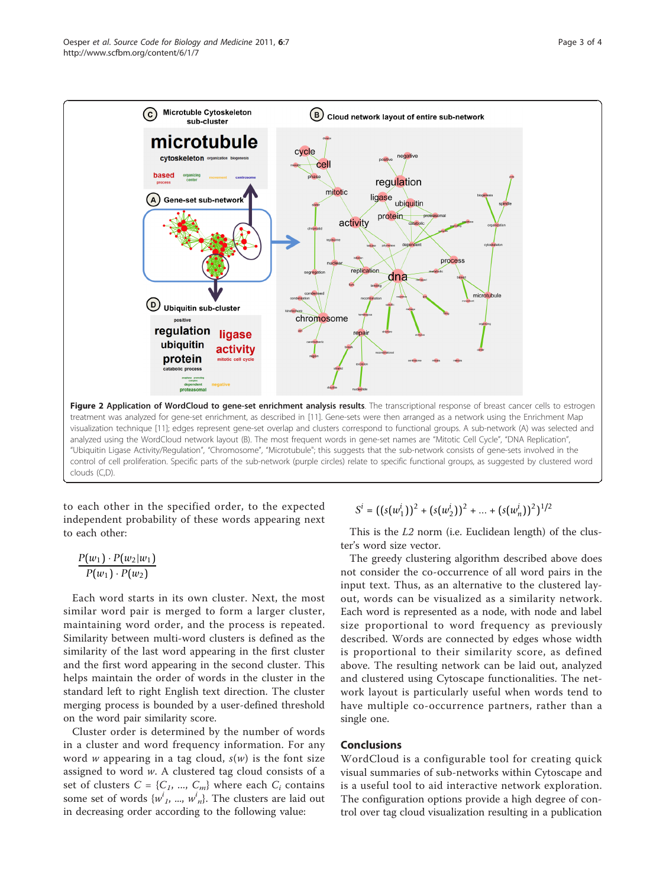<span id="page-2-0"></span>

to each other in the specified order, to the expected independent probability of these words appearing next to each other:

$$
\frac{P(w_1)\cdot P(w_2|w_1)}{P(w_1)\cdot P(w_2)}
$$

Each word starts in its own cluster. Next, the most similar word pair is merged to form a larger cluster, maintaining word order, and the process is repeated. Similarity between multi-word clusters is defined as the similarity of the last word appearing in the first cluster and the first word appearing in the second cluster. This helps maintain the order of words in the cluster in the standard left to right English text direction. The cluster merging process is bounded by a user-defined threshold on the word pair similarity score.

Cluster order is determined by the number of words in a cluster and word frequency information. For any word w appearing in a tag cloud,  $s(w)$  is the font size assigned to word w. A clustered tag cloud consists of a set of clusters  $C = \{C_1, ..., C_m\}$  where each  $C_i$  contains some set of words  $\{w_1^i, ..., w_n^i\}$ . The clusters are laid out in decreasing order according to the following value: in decreasing order according to the following value:

 $S^i = ((s(w_1^i))^2 + (s(w_2^i))^2 + ... + (s(w_n^i))^2)^{1/2}$ 

This is the L2 norm (i.e. Euclidean length) of the cluster's word size vector.

The greedy clustering algorithm described above does not consider the co-occurrence of all word pairs in the input text. Thus, as an alternative to the clustered layout, words can be visualized as a similarity network. Each word is represented as a node, with node and label size proportional to word frequency as previously described. Words are connected by edges whose width is proportional to their similarity score, as defined above. The resulting network can be laid out, analyzed and clustered using Cytoscape functionalities. The network layout is particularly useful when words tend to have multiple co-occurrence partners, rather than a single one.

### Conclusions

WordCloud is a configurable tool for creating quick visual summaries of sub-networks within Cytoscape and is a useful tool to aid interactive network exploration. The configuration options provide a high degree of control over tag cloud visualization resulting in a publication